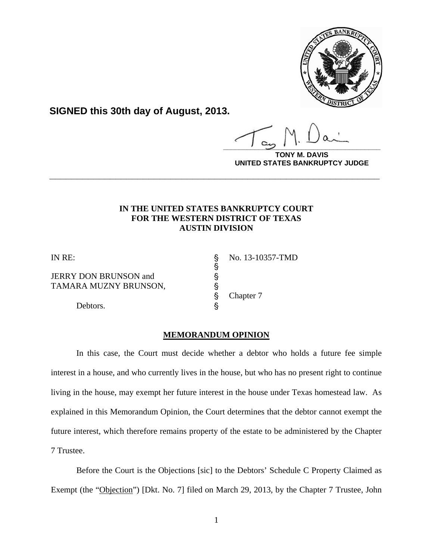

**SIGNED this 30th day of August, 2013.**

**\_\_\_\_\_\_\_\_\_\_\_\_\_\_\_\_\_\_\_\_\_\_\_\_\_\_\_\_\_\_\_\_\_\_\_\_\_\_\_\_**

**DAVIS UNITED STATES BANKRUPTCY JUDGE**

# **IN THE UNITED STATES BANKRUPTCY COURT FOR THE WESTERN DISTRICT OF TEXAS AUSTIN DIVISION**

**\_\_\_\_\_\_\_\_\_\_\_\_\_\_\_\_\_\_\_\_\_\_\_\_\_\_\_\_\_\_\_\_\_\_\_\_\_\_\_\_\_\_\_\_\_\_\_\_\_\_\_\_\_\_\_\_\_\_\_\_**

JERRY DON BRUNSON and ' TAMARA MUZNY BRUNSON,

Debtors.  $\S$ 

IN RE: \$ No. 13-10357-TMD

Chapter 7

### **MEMORANDUM OPINION**

es es es es

In this case, the Court must decide whether a debtor who holds a future fee simple interest in a house, and who currently lives in the house, but who has no present right to continue living in the house, may exempt her future interest in the house under Texas homestead law. As explained in this Memorandum Opinion, the Court determines that the debtor cannot exempt the future interest, which therefore remains property of the estate to be administered by the Chapter 7 Trustee.

Before the Court is the Objections [sic] to the Debtors' Schedule C Property Claimed as Exempt (the "Objection") [Dkt. No. 7] filed on March 29, 2013, by the Chapter 7 Trustee, John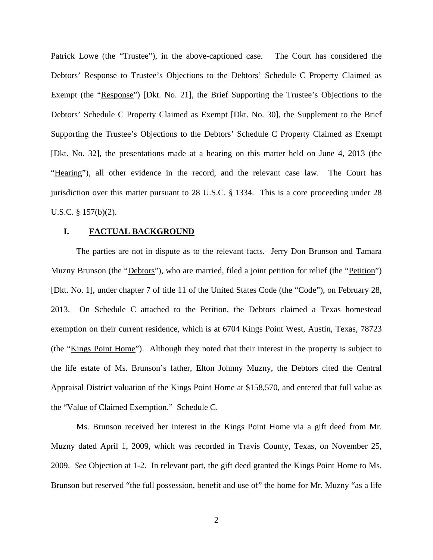Patrick Lowe (the "Trustee"), in the above-captioned case. The Court has considered the Debtors' Response to Trustee's Objections to the Debtors' Schedule C Property Claimed as Exempt (the "Response") [Dkt. No. 21], the Brief Supporting the Trustee's Objections to the Debtors' Schedule C Property Claimed as Exempt [Dkt. No. 30], the Supplement to the Brief Supporting the Trustee's Objections to the Debtors' Schedule C Property Claimed as Exempt [Dkt. No. 32], the presentations made at a hearing on this matter held on June 4, 2013 (the "Hearing"), all other evidence in the record, and the relevant case law. The Court has jurisdiction over this matter pursuant to 28 U.S.C. § 1334. This is a core proceeding under 28 U.S.C. § 157(b)(2).

### **I. FACTUAL BACKGROUND**

The parties are not in dispute as to the relevant facts. Jerry Don Brunson and Tamara Muzny Brunson (the "Debtors"), who are married, filed a joint petition for relief (the "Petition") [Dkt. No. 1], under chapter 7 of title 11 of the United States Code (the "Code"), on February 28, 2013. On Schedule C attached to the Petition, the Debtors claimed a Texas homestead exemption on their current residence, which is at 6704 Kings Point West, Austin, Texas, 78723 (the "Kings Point Home"). Although they noted that their interest in the property is subject to the life estate of Ms. Brunson's father, Elton Johnny Muzny, the Debtors cited the Central Appraisal District valuation of the Kings Point Home at \$158,570, and entered that full value as the "Value of Claimed Exemption." Schedule C.

Ms. Brunson received her interest in the Kings Point Home via a gift deed from Mr. Muzny dated April 1, 2009, which was recorded in Travis County, Texas, on November 25, 2009. *See* Objection at 1-2. In relevant part, the gift deed granted the Kings Point Home to Ms. Brunson but reserved "the full possession, benefit and use of" the home for Mr. Muzny "as a life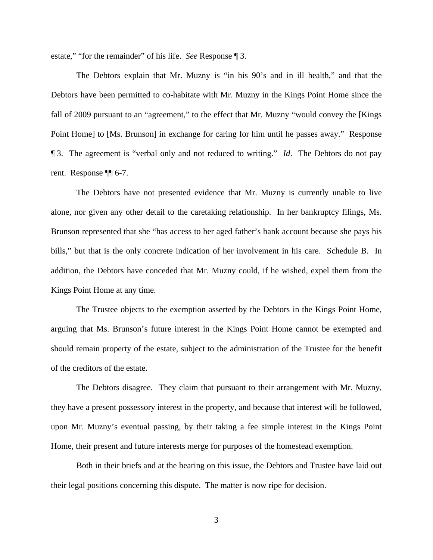estate," "for the remainder" of his life. *See* Response ¶ 3.

The Debtors explain that Mr. Muzny is "in his 90's and in ill health," and that the Debtors have been permitted to co-habitate with Mr. Muzny in the Kings Point Home since the fall of 2009 pursuant to an "agreement," to the effect that Mr. Muzny "would convey the [Kings Point Home] to [Ms. Brunson] in exchange for caring for him until he passes away." Response ¶ 3. The agreement is "verbal only and not reduced to writing." *Id*. The Debtors do not pay rent. Response ¶¶ 6-7.

The Debtors have not presented evidence that Mr. Muzny is currently unable to live alone, nor given any other detail to the caretaking relationship. In her bankruptcy filings, Ms. Brunson represented that she "has access to her aged father's bank account because she pays his bills," but that is the only concrete indication of her involvement in his care. Schedule B. In addition, the Debtors have conceded that Mr. Muzny could, if he wished, expel them from the Kings Point Home at any time.

The Trustee objects to the exemption asserted by the Debtors in the Kings Point Home, arguing that Ms. Brunson's future interest in the Kings Point Home cannot be exempted and should remain property of the estate, subject to the administration of the Trustee for the benefit of the creditors of the estate.

The Debtors disagree. They claim that pursuant to their arrangement with Mr. Muzny, they have a present possessory interest in the property, and because that interest will be followed, upon Mr. Muzny's eventual passing, by their taking a fee simple interest in the Kings Point Home, their present and future interests merge for purposes of the homestead exemption.

Both in their briefs and at the hearing on this issue, the Debtors and Trustee have laid out their legal positions concerning this dispute. The matter is now ripe for decision.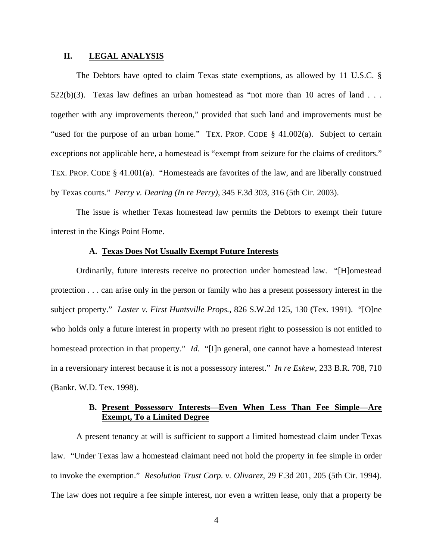#### **II. LEGAL ANALYSIS**

The Debtors have opted to claim Texas state exemptions, as allowed by 11 U.S.C. §  $522(b)(3)$ . Texas law defines an urban homestead as "not more than 10 acres of land . . . together with any improvements thereon," provided that such land and improvements must be "used for the purpose of an urban home." TEX. PROP. CODE § 41.002(a). Subject to certain exceptions not applicable here, a homestead is "exempt from seizure for the claims of creditors." TEX. PROP. CODE § 41.001(a). "Homesteads are favorites of the law, and are liberally construed by Texas courts." *Perry v. Dearing (In re Perry)*, 345 F.3d 303, 316 (5th Cir. 2003).

The issue is whether Texas homestead law permits the Debtors to exempt their future interest in the Kings Point Home.

#### **A. Texas Does Not Usually Exempt Future Interests**

Ordinarily, future interests receive no protection under homestead law. "[H]omestead protection . . . can arise only in the person or family who has a present possessory interest in the subject property." *Laster v. First Huntsville Props.*, 826 S.W.2d 125, 130 (Tex. 1991). "[O]ne who holds only a future interest in property with no present right to possession is not entitled to homestead protection in that property." *Id*. "[I]n general, one cannot have a homestead interest in a reversionary interest because it is not a possessory interest." *In re Eskew*, 233 B.R. 708, 710 (Bankr. W.D. Tex. 1998).

## **B. Present Possessory Interests—Even When Less Than Fee Simple—Are Exempt, To a Limited Degree**

A present tenancy at will is sufficient to support a limited homestead claim under Texas law. "Under Texas law a homestead claimant need not hold the property in fee simple in order to invoke the exemption." *Resolution Trust Corp. v. Olivarez*, 29 F.3d 201, 205 (5th Cir. 1994). The law does not require a fee simple interest, nor even a written lease, only that a property be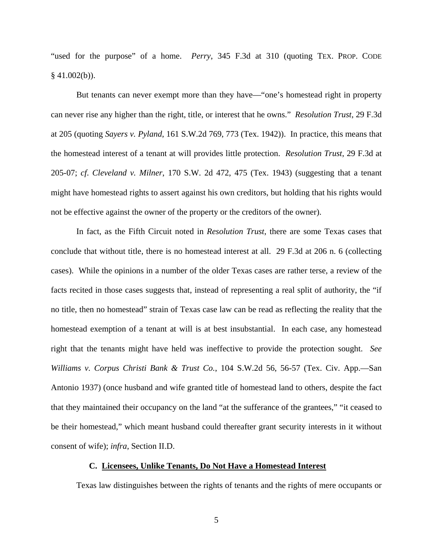"used for the purpose" of a home. *Perry*, 345 F.3d at 310 (quoting TEX. PROP. CODE  $§$  41.002(b)).

But tenants can never exempt more than they have—"one's homestead right in property can never rise any higher than the right, title, or interest that he owns." *Resolution Trust*, 29 F.3d at 205 (quoting *Sayers v. Pyland*, 161 S.W.2d 769, 773 (Tex. 1942)). In practice, this means that the homestead interest of a tenant at will provides little protection. *Resolution Trust*, 29 F.3d at 205-07; *cf*. *Cleveland v. Milner*, 170 S.W. 2d 472, 475 (Tex. 1943) (suggesting that a tenant might have homestead rights to assert against his own creditors, but holding that his rights would not be effective against the owner of the property or the creditors of the owner).

In fact, as the Fifth Circuit noted in *Resolution Trust*, there are some Texas cases that conclude that without title, there is no homestead interest at all. 29 F.3d at 206 n. 6 (collecting cases). While the opinions in a number of the older Texas cases are rather terse, a review of the facts recited in those cases suggests that, instead of representing a real split of authority, the "if no title, then no homestead" strain of Texas case law can be read as reflecting the reality that the homestead exemption of a tenant at will is at best insubstantial. In each case, any homestead right that the tenants might have held was ineffective to provide the protection sought. *See Williams v. Corpus Christi Bank & Trust Co.*, 104 S.W.2d 56, 56-57 (Tex. Civ. App.—San Antonio 1937) (once husband and wife granted title of homestead land to others, despite the fact that they maintained their occupancy on the land "at the sufferance of the grantees," "it ceased to be their homestead," which meant husband could thereafter grant security interests in it without consent of wife); *infra*, Section II.D.

### **C. Licensees, Unlike Tenants, Do Not Have a Homestead Interest**

Texas law distinguishes between the rights of tenants and the rights of mere occupants or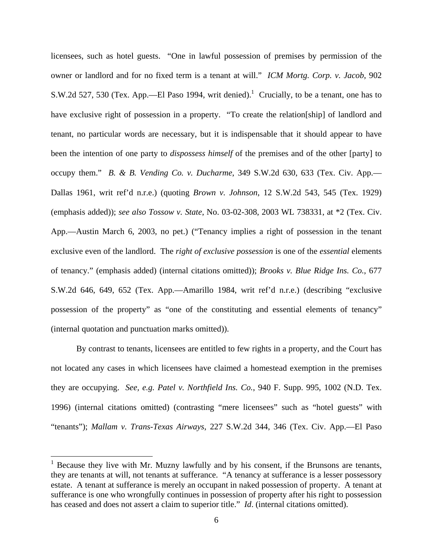licensees, such as hotel guests. "One in lawful possession of premises by permission of the owner or landlord and for no fixed term is a tenant at will." *ICM Mortg. Corp. v. Jacob*, 902 S.W.2d 527, 530 (Tex. App.—El Paso 1994, writ denied).<sup>1</sup> Crucially, to be a tenant, one has to have exclusive right of possession in a property. "To create the relation [ship] of landlord and tenant, no particular words are necessary, but it is indispensable that it should appear to have been the intention of one party to *dispossess himself* of the premises and of the other [party] to occupy them." *B. & B. Vending Co. v. Ducharme*, 349 S.W.2d 630, 633 (Tex. Civ. App.— Dallas 1961, writ ref'd n.r.e.) (quoting *Brown v. Johnson*, 12 S.W.2d 543, 545 (Tex. 1929) (emphasis added)); *see also Tossow v. State*, No. 03-02-308, 2003 WL 738331, at \*2 (Tex. Civ. App.—Austin March 6, 2003, no pet.) ("Tenancy implies a right of possession in the tenant exclusive even of the landlord. The *right of exclusive possession* is one of the *essential* elements of tenancy." (emphasis added) (internal citations omitted)); *Brooks v. Blue Ridge Ins. Co.*, 677 S.W.2d 646, 649, 652 (Tex. App.—Amarillo 1984, writ ref'd n.r.e.) (describing "exclusive possession of the property" as "one of the constituting and essential elements of tenancy" (internal quotation and punctuation marks omitted)).

By contrast to tenants, licensees are entitled to few rights in a property, and the Court has not located any cases in which licensees have claimed a homestead exemption in the premises they are occupying. *See, e.g. Patel v. Northfield Ins. Co.*, 940 F. Supp. 995, 1002 (N.D. Tex. 1996) (internal citations omitted) (contrasting "mere licensees" such as "hotel guests" with "tenants"); *Mallam v. Trans-Texas Airways*, 227 S.W.2d 344, 346 (Tex. Civ. App.—El Paso

<sup>&</sup>lt;sup>1</sup> Because they live with Mr. Muzny lawfully and by his consent, if the Brunsons are tenants, they are tenants at will, not tenants at sufferance. "A tenancy at sufferance is a lesser possessory estate. A tenant at sufferance is merely an occupant in naked possession of property. A tenant at sufferance is one who wrongfully continues in possession of property after his right to possession has ceased and does not assert a claim to superior title." *Id*. (internal citations omitted).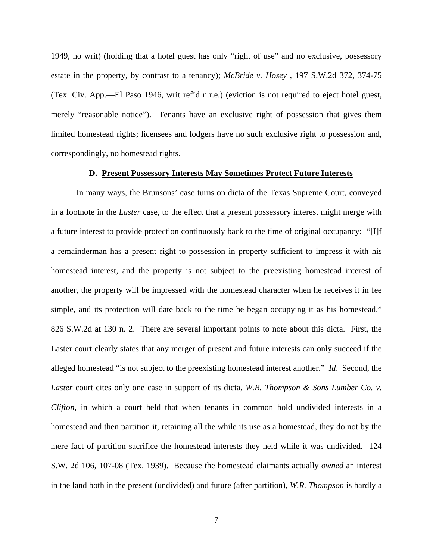1949, no writ) (holding that a hotel guest has only "right of use" and no exclusive, possessory estate in the property, by contrast to a tenancy); *McBride v. Hosey* , 197 S.W.2d 372, 374-75 (Tex. Civ. App.—El Paso 1946, writ ref'd n.r.e.) (eviction is not required to eject hotel guest, merely "reasonable notice"). Tenants have an exclusive right of possession that gives them limited homestead rights; licensees and lodgers have no such exclusive right to possession and, correspondingly, no homestead rights.

#### **D. Present Possessory Interests May Sometimes Protect Future Interests**

In many ways, the Brunsons' case turns on dicta of the Texas Supreme Court, conveyed in a footnote in the *Laster* case, to the effect that a present possessory interest might merge with a future interest to provide protection continuously back to the time of original occupancy: "[I]f a remainderman has a present right to possession in property sufficient to impress it with his homestead interest, and the property is not subject to the preexisting homestead interest of another, the property will be impressed with the homestead character when he receives it in fee simple, and its protection will date back to the time he began occupying it as his homestead." 826 S.W.2d at 130 n. 2. There are several important points to note about this dicta. First, the Laster court clearly states that any merger of present and future interests can only succeed if the alleged homestead "is not subject to the preexisting homestead interest another." *Id*. Second, the *Laster* court cites only one case in support of its dicta, *W.R. Thompson & Sons Lumber Co. v. Clifton*, in which a court held that when tenants in common hold undivided interests in a homestead and then partition it, retaining all the while its use as a homestead, they do not by the mere fact of partition sacrifice the homestead interests they held while it was undivided. 124 S.W. 2d 106, 107-08 (Tex. 1939). Because the homestead claimants actually *owned* an interest in the land both in the present (undivided) and future (after partition), *W.R. Thompson* is hardly a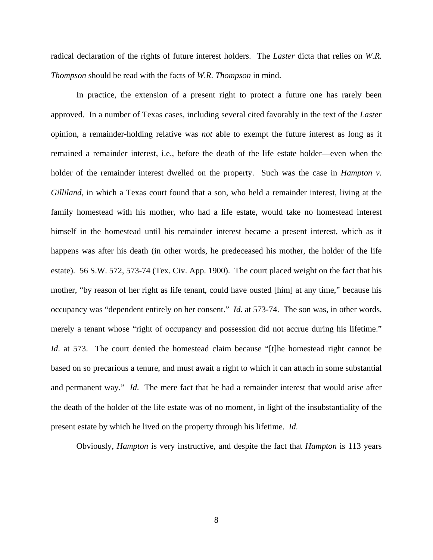radical declaration of the rights of future interest holders. The *Laster* dicta that relies on *W.R. Thompson* should be read with the facts of *W.R. Thompson* in mind.

In practice, the extension of a present right to protect a future one has rarely been approved. In a number of Texas cases, including several cited favorably in the text of the *Laster*  opinion, a remainder-holding relative was *not* able to exempt the future interest as long as it remained a remainder interest, i.e., before the death of the life estate holder—even when the holder of the remainder interest dwelled on the property. Such was the case in *Hampton v. Gilliland*, in which a Texas court found that a son, who held a remainder interest, living at the family homestead with his mother, who had a life estate, would take no homestead interest himself in the homestead until his remainder interest became a present interest, which as it happens was after his death (in other words, he predeceased his mother, the holder of the life estate). 56 S.W. 572, 573-74 (Tex. Civ. App. 1900). The court placed weight on the fact that his mother, "by reason of her right as life tenant, could have ousted [him] at any time," because his occupancy was "dependent entirely on her consent." *Id*. at 573-74. The son was, in other words, merely a tenant whose "right of occupancy and possession did not accrue during his lifetime." *Id.* at 573. The court denied the homestead claim because "[t]he homestead right cannot be based on so precarious a tenure, and must await a right to which it can attach in some substantial and permanent way." *Id*. The mere fact that he had a remainder interest that would arise after the death of the holder of the life estate was of no moment, in light of the insubstantiality of the present estate by which he lived on the property through his lifetime. *Id*.

Obviously, *Hampton* is very instructive, and despite the fact that *Hampton* is 113 years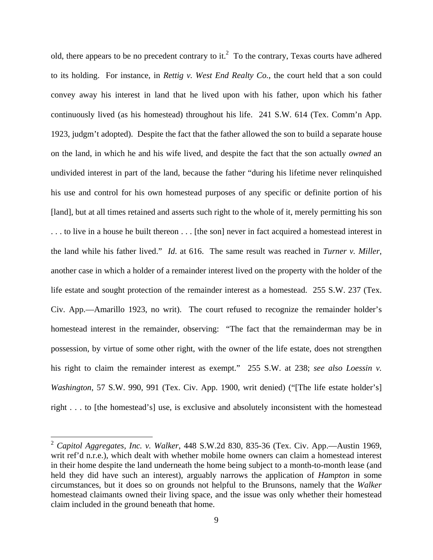old, there appears to be no precedent contrary to it.<sup>2</sup> To the contrary, Texas courts have adhered to its holding. For instance, in *Rettig v. West End Realty Co.*, the court held that a son could convey away his interest in land that he lived upon with his father, upon which his father continuously lived (as his homestead) throughout his life. 241 S.W. 614 (Tex. Comm'n App. 1923, judgm't adopted). Despite the fact that the father allowed the son to build a separate house on the land, in which he and his wife lived, and despite the fact that the son actually *owned* an undivided interest in part of the land, because the father "during his lifetime never relinquished his use and control for his own homestead purposes of any specific or definite portion of his [land], but at all times retained and asserts such right to the whole of it, merely permitting his son . . . to live in a house he built thereon . . . [the son] never in fact acquired a homestead interest in the land while his father lived." *Id*. at 616. The same result was reached in *Turner v. Miller*, another case in which a holder of a remainder interest lived on the property with the holder of the life estate and sought protection of the remainder interest as a homestead. 255 S.W. 237 (Tex. Civ. App.—Amarillo 1923, no writ). The court refused to recognize the remainder holder's homestead interest in the remainder, observing: "The fact that the remainderman may be in possession, by virtue of some other right, with the owner of the life estate, does not strengthen his right to claim the remainder interest as exempt." 255 S.W. at 238; *see also Loessin v. Washington*, 57 S.W. 990, 991 (Tex. Civ. App. 1900, writ denied) ("[The life estate holder's] right . . . to [the homestead's] use, is exclusive and absolutely inconsistent with the homestead

1

<sup>2</sup> *Capitol Aggregates, Inc. v. Walker*, 448 S.W.2d 830, 835-36 (Tex. Civ. App.—Austin 1969, writ ref'd n.r.e.), which dealt with whether mobile home owners can claim a homestead interest in their home despite the land underneath the home being subject to a month-to-month lease (and held they did have such an interest), arguably narrows the application of *Hampton* in some circumstances, but it does so on grounds not helpful to the Brunsons, namely that the *Walker* homestead claimants owned their living space, and the issue was only whether their homestead claim included in the ground beneath that home.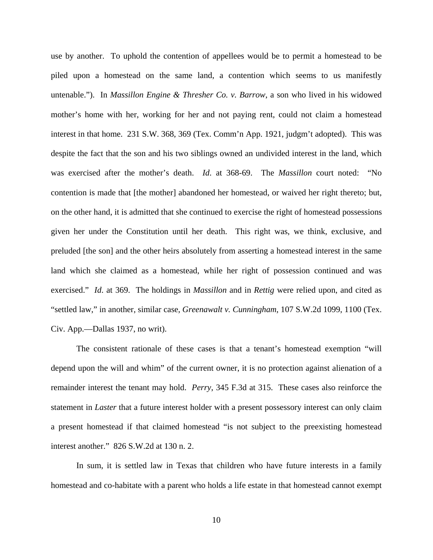use by another. To uphold the contention of appellees would be to permit a homestead to be piled upon a homestead on the same land, a contention which seems to us manifestly untenable."). In *Massillon Engine & Thresher Co. v. Barrow*, a son who lived in his widowed mother's home with her, working for her and not paying rent, could not claim a homestead interest in that home. 231 S.W. 368, 369 (Tex. Comm'n App. 1921, judgm't adopted). This was despite the fact that the son and his two siblings owned an undivided interest in the land, which was exercised after the mother's death. *Id*. at 368-69. The *Massillon* court noted: "No contention is made that [the mother] abandoned her homestead, or waived her right thereto; but, on the other hand, it is admitted that she continued to exercise the right of homestead possessions given her under the Constitution until her death. This right was, we think, exclusive, and preluded [the son] and the other heirs absolutely from asserting a homestead interest in the same land which she claimed as a homestead, while her right of possession continued and was exercised." *Id*. at 369. The holdings in *Massillon* and in *Rettig* were relied upon, and cited as "settled law," in another, similar case, *Greenawalt v. Cunningham*, 107 S.W.2d 1099, 1100 (Tex. Civ. App.—Dallas 1937, no writ).

The consistent rationale of these cases is that a tenant's homestead exemption "will depend upon the will and whim" of the current owner, it is no protection against alienation of a remainder interest the tenant may hold. *Perry*, 345 F.3d at 315. These cases also reinforce the statement in *Laster* that a future interest holder with a present possessory interest can only claim a present homestead if that claimed homestead "is not subject to the preexisting homestead interest another." 826 S.W.2d at 130 n. 2.

In sum, it is settled law in Texas that children who have future interests in a family homestead and co-habitate with a parent who holds a life estate in that homestead cannot exempt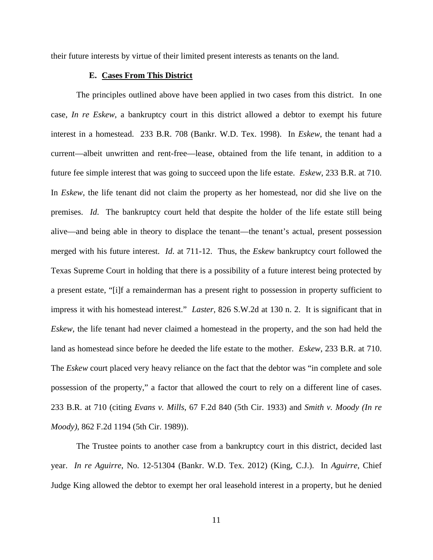their future interests by virtue of their limited present interests as tenants on the land.

### **E. Cases From This District**

The principles outlined above have been applied in two cases from this district. In one case, *In re Eskew*, a bankruptcy court in this district allowed a debtor to exempt his future interest in a homestead. 233 B.R. 708 (Bankr. W.D. Tex. 1998). In *Eskew*, the tenant had a current—albeit unwritten and rent-free—lease, obtained from the life tenant, in addition to a future fee simple interest that was going to succeed upon the life estate. *Eskew*, 233 B.R. at 710. In *Eskew*, the life tenant did not claim the property as her homestead, nor did she live on the premises. *Id*. The bankruptcy court held that despite the holder of the life estate still being alive—and being able in theory to displace the tenant—the tenant's actual, present possession merged with his future interest. *Id*. at 711-12. Thus, the *Eskew* bankruptcy court followed the Texas Supreme Court in holding that there is a possibility of a future interest being protected by a present estate, "[i]f a remainderman has a present right to possession in property sufficient to impress it with his homestead interest." *Laster*, 826 S.W.2d at 130 n. 2. It is significant that in *Eskew*, the life tenant had never claimed a homestead in the property, and the son had held the land as homestead since before he deeded the life estate to the mother. *Eskew*, 233 B.R. at 710. The *Eskew* court placed very heavy reliance on the fact that the debtor was "in complete and sole possession of the property," a factor that allowed the court to rely on a different line of cases. 233 B.R. at 710 (citing *Evans v. Mills*, 67 F.2d 840 (5th Cir. 1933) and *Smith v. Moody (In re Moody)*, 862 F.2d 1194 (5th Cir. 1989)).

The Trustee points to another case from a bankruptcy court in this district, decided last year. *In re Aguirre*, No. 12-51304 (Bankr. W.D. Tex. 2012) (King, C.J.). In *Aguirre*, Chief Judge King allowed the debtor to exempt her oral leasehold interest in a property, but he denied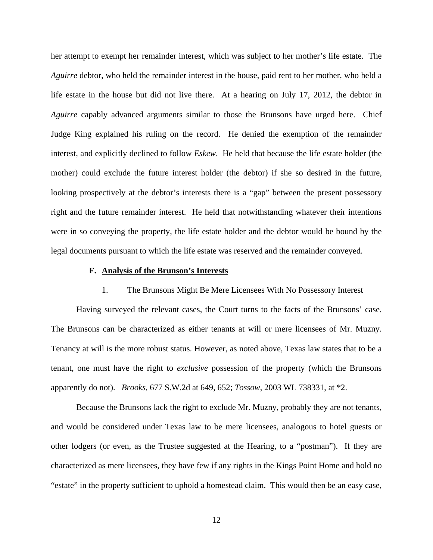her attempt to exempt her remainder interest, which was subject to her mother's life estate. The *Aguirre* debtor, who held the remainder interest in the house, paid rent to her mother, who held a life estate in the house but did not live there. At a hearing on July 17, 2012, the debtor in *Aguirre* capably advanced arguments similar to those the Brunsons have urged here. Chief Judge King explained his ruling on the record. He denied the exemption of the remainder interest, and explicitly declined to follow *Eskew*. He held that because the life estate holder (the mother) could exclude the future interest holder (the debtor) if she so desired in the future, looking prospectively at the debtor's interests there is a "gap" between the present possessory right and the future remainder interest. He held that notwithstanding whatever their intentions were in so conveying the property, the life estate holder and the debtor would be bound by the legal documents pursuant to which the life estate was reserved and the remainder conveyed.

### **F. Analysis of the Brunson's Interests**

### 1. The Brunsons Might Be Mere Licensees With No Possessory Interest

Having surveyed the relevant cases, the Court turns to the facts of the Brunsons' case. The Brunsons can be characterized as either tenants at will or mere licensees of Mr. Muzny. Tenancy at will is the more robust status. However, as noted above, Texas law states that to be a tenant, one must have the right to *exclusive* possession of the property (which the Brunsons apparently do not). *Brooks*, 677 S.W.2d at 649, 652; *Tossow*, 2003 WL 738331, at \*2.

Because the Brunsons lack the right to exclude Mr. Muzny, probably they are not tenants, and would be considered under Texas law to be mere licensees, analogous to hotel guests or other lodgers (or even, as the Trustee suggested at the Hearing, to a "postman"). If they are characterized as mere licensees, they have few if any rights in the Kings Point Home and hold no "estate" in the property sufficient to uphold a homestead claim. This would then be an easy case,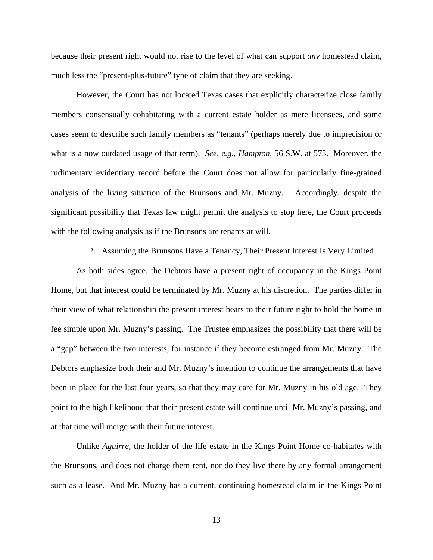because their present right would not rise to the level of what can support *any* homestead claim, much less the "present-plus-future" type of claim that they are seeking.

However, the Court has not located Texas cases that explicitly characterize close family members consensually cohabitating with a current estate holder as mere licensees, and some cases seem to describe such family members as "tenants" (perhaps merely due to imprecision or what is a now outdated usage of that term). *See, e.g.*, *Hampton*, 56 S.W. at 573. Moreover, the rudimentary evidentiary record before the Court does not allow for particularly fine-grained analysis of the living situation of the Brunsons and Mr. Muzny. Accordingly, despite the significant possibility that Texas law might permit the analysis to stop here, the Court proceeds with the following analysis as if the Brunsons are tenants at will.

#### 2. Assuming the Brunsons Have a Tenancy, Their Present Interest Is Very Limited

As both sides agree, the Debtors have a present right of occupancy in the Kings Point Home, but that interest could be terminated by Mr. Muzny at his discretion. The parties differ in their view of what relationship the present interest bears to their future right to hold the home in fee simple upon Mr. Muzny's passing. The Trustee emphasizes the possibility that there will be a "gap" between the two interests, for instance if they become estranged from Mr. Muzny. The Debtors emphasize both their and Mr. Muzny's intention to continue the arrangements that have been in place for the last four years, so that they may care for Mr. Muzny in his old age. They point to the high likelihood that their present estate will continue until Mr. Muzny's passing, and at that time will merge with their future interest.

Unlike *Aguirre*, the holder of the life estate in the Kings Point Home co-habitates with the Brunsons, and does not charge them rent, nor do they live there by any formal arrangement such as a lease. And Mr. Muzny has a current, continuing homestead claim in the Kings Point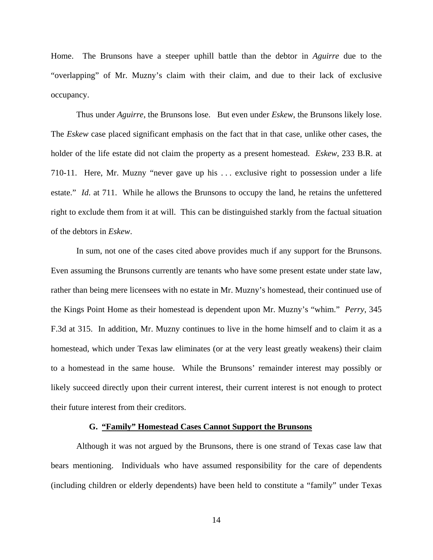Home. The Brunsons have a steeper uphill battle than the debtor in *Aguirre* due to the "overlapping" of Mr. Muzny's claim with their claim, and due to their lack of exclusive occupancy.

Thus under *Aguirre*, the Brunsons lose. But even under *Eskew*, the Brunsons likely lose. The *Eskew* case placed significant emphasis on the fact that in that case, unlike other cases, the holder of the life estate did not claim the property as a present homestead. *Eskew*, 233 B.R. at 710-11. Here, Mr. Muzny "never gave up his . . . exclusive right to possession under a life estate." *Id*. at 711. While he allows the Brunsons to occupy the land, he retains the unfettered right to exclude them from it at will. This can be distinguished starkly from the factual situation of the debtors in *Eskew*.

In sum, not one of the cases cited above provides much if any support for the Brunsons. Even assuming the Brunsons currently are tenants who have some present estate under state law, rather than being mere licensees with no estate in Mr. Muzny's homestead, their continued use of the Kings Point Home as their homestead is dependent upon Mr. Muzny's "whim." *Perry*, 345 F.3d at 315. In addition, Mr. Muzny continues to live in the home himself and to claim it as a homestead, which under Texas law eliminates (or at the very least greatly weakens) their claim to a homestead in the same house. While the Brunsons' remainder interest may possibly or likely succeed directly upon their current interest, their current interest is not enough to protect their future interest from their creditors.

#### **G. "Family" Homestead Cases Cannot Support the Brunsons**

Although it was not argued by the Brunsons, there is one strand of Texas case law that bears mentioning. Individuals who have assumed responsibility for the care of dependents (including children or elderly dependents) have been held to constitute a "family" under Texas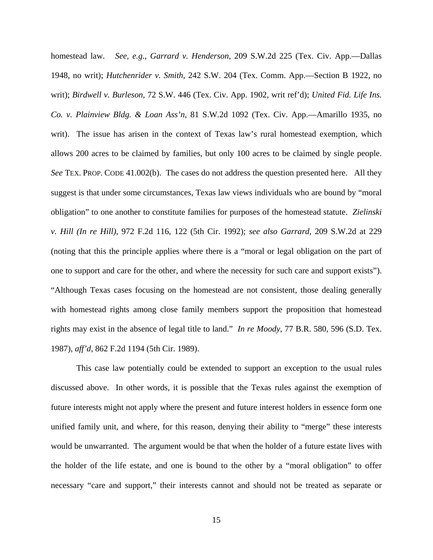homestead law. *See, e.g.*, *Garrard v. Henderson*, 209 S.W.2d 225 (Tex. Civ. App.—Dallas 1948, no writ); *Hutchenrider v. Smith*, 242 S.W. 204 (Tex. Comm. App.—Section B 1922, no writ); *Birdwell v. Burleson*, 72 S.W. 446 (Tex. Civ. App. 1902, writ ref'd); *United Fid. Life Ins. Co. v. Plainview Bldg. & Loan Ass'n*, 81 S.W.2d 1092 (Tex. Civ. App.—Amarillo 1935, no writ). The issue has arisen in the context of Texas law's rural homestead exemption, which allows 200 acres to be claimed by families, but only 100 acres to be claimed by single people. *See* TEX. PROP. CODE 41.002(b). The cases do not address the question presented here. All they suggest is that under some circumstances, Texas law views individuals who are bound by "moral obligation" to one another to constitute families for purposes of the homestead statute. *Zielinski v. Hill (In re Hill)*, 972 F.2d 116, 122 (5th Cir. 1992); *see also Garrard*, 209 S.W.2d at 229 (noting that this the principle applies where there is a "moral or legal obligation on the part of one to support and care for the other, and where the necessity for such care and support exists"). "Although Texas cases focusing on the homestead are not consistent, those dealing generally with homestead rights among close family members support the proposition that homestead rights may exist in the absence of legal title to land." *In re Moody*, 77 B.R. 580, 596 (S.D. Tex. 1987), *aff'd*, 862 F.2d 1194 (5th Cir. 1989).

This case law potentially could be extended to support an exception to the usual rules discussed above. In other words, it is possible that the Texas rules against the exemption of future interests might not apply where the present and future interest holders in essence form one unified family unit, and where, for this reason, denying their ability to "merge" these interests would be unwarranted. The argument would be that when the holder of a future estate lives with the holder of the life estate, and one is bound to the other by a "moral obligation" to offer necessary "care and support," their interests cannot and should not be treated as separate or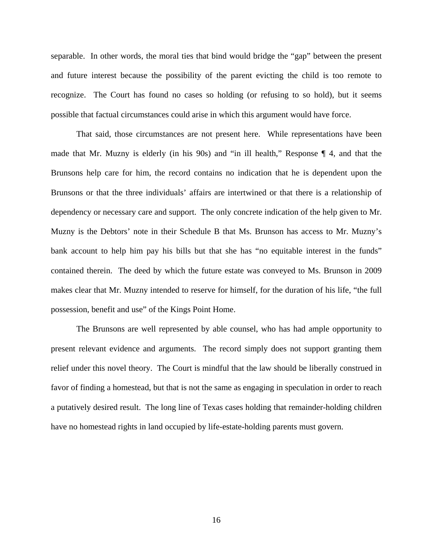separable. In other words, the moral ties that bind would bridge the "gap" between the present and future interest because the possibility of the parent evicting the child is too remote to recognize. The Court has found no cases so holding (or refusing to so hold), but it seems possible that factual circumstances could arise in which this argument would have force.

That said, those circumstances are not present here. While representations have been made that Mr. Muzny is elderly (in his 90s) and "in ill health," Response ¶ 4, and that the Brunsons help care for him, the record contains no indication that he is dependent upon the Brunsons or that the three individuals' affairs are intertwined or that there is a relationship of dependency or necessary care and support. The only concrete indication of the help given to Mr. Muzny is the Debtors' note in their Schedule B that Ms. Brunson has access to Mr. Muzny's bank account to help him pay his bills but that she has "no equitable interest in the funds" contained therein. The deed by which the future estate was conveyed to Ms. Brunson in 2009 makes clear that Mr. Muzny intended to reserve for himself, for the duration of his life, "the full possession, benefit and use" of the Kings Point Home.

The Brunsons are well represented by able counsel, who has had ample opportunity to present relevant evidence and arguments. The record simply does not support granting them relief under this novel theory. The Court is mindful that the law should be liberally construed in favor of finding a homestead, but that is not the same as engaging in speculation in order to reach a putatively desired result. The long line of Texas cases holding that remainder-holding children have no homestead rights in land occupied by life-estate-holding parents must govern.